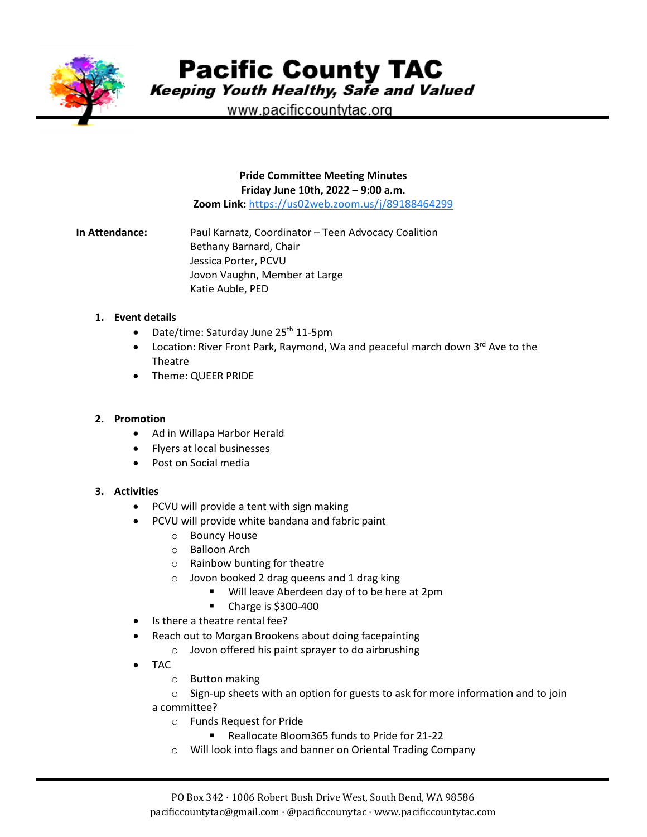

**Pacific County TAC** 

Keeping Youth Healthy, Safe and Valued

www.pacificcountytac.org

**Pride Committee Meeting Minutes Friday June 10th, 2022 – 9:00 a.m. Zoom Link:** [https://us02web.zoom.us/j/89188464299](https://www.google.com/url?q=https://us02web.zoom.us/j/89188464299&sa=D&source=calendar&usd=2&usg=AOvVaw0Eop2wANYEJFZJ1gOFhc37)

**In Attendance:** Paul Karnatz, Coordinator – Teen Advocacy Coalition Bethany Barnard, Chair Jessica Porter, PCVU Jovon Vaughn, Member at Large Katie Auble, PED

## **1. Event details**

- Date/time: Saturday June  $25<sup>th</sup> 11-5pm$
- Location: River Front Park, Raymond, Wa and peaceful march down 3<sup>rd</sup> Ave to the Theatre
- Theme: QUEER PRIDE

## **2. Promotion**

- Ad in Willapa Harbor Herald
- Flyers at local businesses
- Post on Social media

## **3. Activities**

- PCVU will provide a tent with sign making
- PCVU will provide white bandana and fabric paint
	- o Bouncy House
	- o Balloon Arch
	- o Rainbow bunting for theatre
	- o Jovon booked 2 drag queens and 1 drag king
		- **Will leave Aberdeen day of to be here at 2pm**
		- **Charge is \$300-400**
- Is there a theatre rental fee?
- Reach out to Morgan Brookens about doing facepainting
	- o Jovon offered his paint sprayer to do airbrushing
- TAC
	- o Button making
	- $\circ$  Sign-up sheets with an option for guests to ask for more information and to join a committee?
		- o Funds Request for Pride
			- Reallocate Bloom365 funds to Pride for 21-22
		- o Will look into flags and banner on Oriental Trading Company